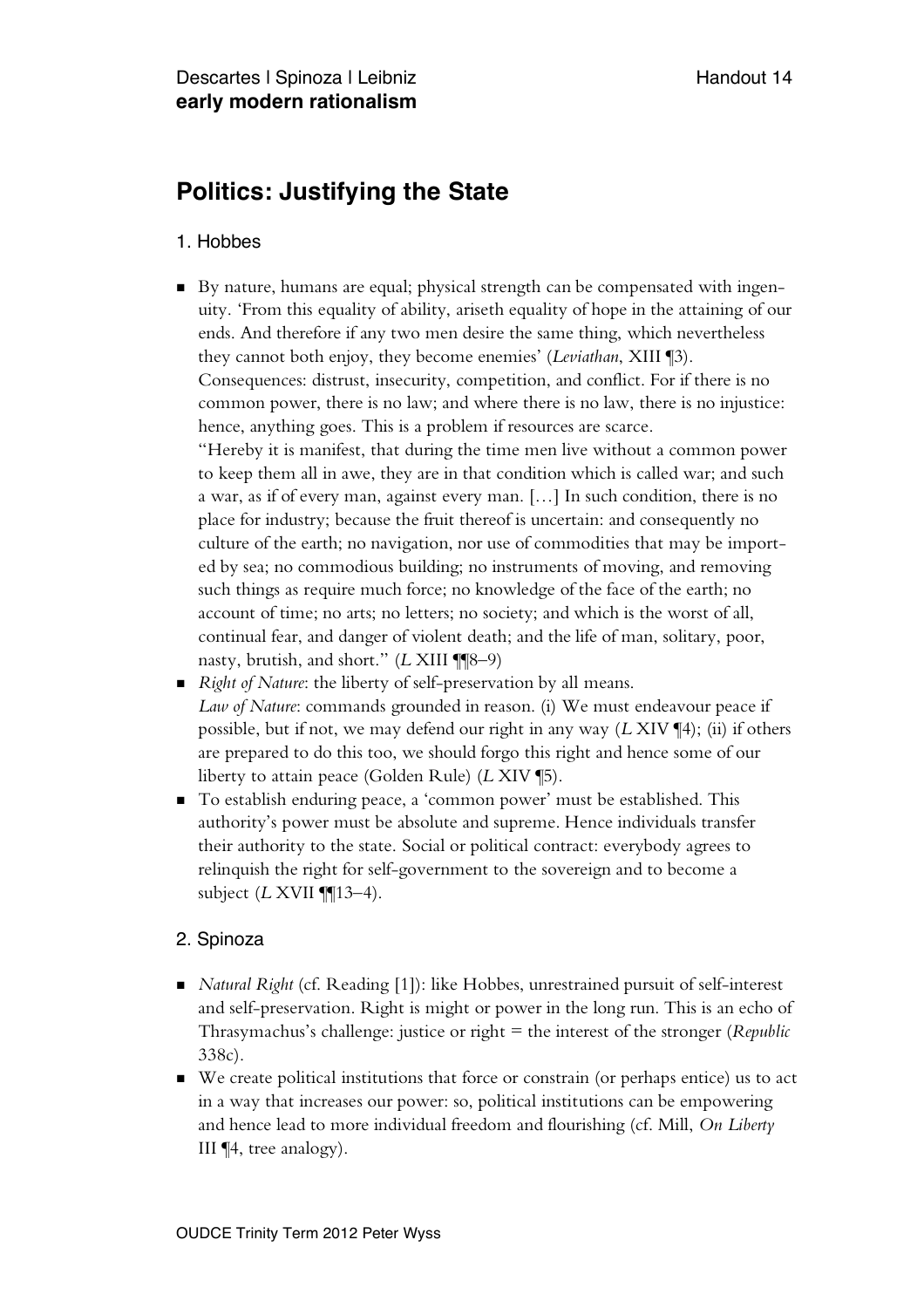## **Politics: Justifying the State**

## 1. Hobbes

- By nature, humans are equal; physical strength can be compensated with ingenuity. 'From this equality of ability, ariseth equality of hope in the attaining of our ends. And therefore if any two men desire the same thing, which nevertheless they cannot both enjoy, they become enemies' (*Leviathan*, XIII ¶3). Consequences: distrust, insecurity, competition, and conflict. For if there is no common power, there is no law; and where there is no law, there is no injustice: hence, anything goes. This is a problem if resources are scarce. "Hereby it is manifest, that during the time men live without a common power to keep them all in awe, they are in that condition which is called war; and such a war, as if of every man, against every man. […] In such condition, there is no place for industry; because the fruit thereof is uncertain: and consequently no culture of the earth; no navigation, nor use of commodities that may be imported by sea; no commodious building; no instruments of moving, and removing such things as require much force; no knowledge of the face of the earth; no account of time; no arts; no letters; no society; and which is the worst of all, continual fear, and danger of violent death; and the life of man, solitary, poor, nasty, brutish, and short." (*L* XIII ¶¶8–9)
- *Right of Nature*: the liberty of self-preservation by all means. *Law of Nature*: commands grounded in reason. (i) We must endeavour peace if possible, but if not, we may defend our right in any way (*L* XIV ¶4); (ii) if others are prepared to do this too, we should forgo this right and hence some of our liberty to attain peace (Golden Rule) (*L* XIV ¶5).
- To establish enduring peace, a 'common power' must be established. This authority's power must be absolute and supreme. Hence individuals transfer their authority to the state. Social or political contract: everybody agrees to relinquish the right for self-government to the sovereign and to become a subject (*L* XVII ¶¶13–4).

## 2. Spinoza

- *Natural Right* (cf. Reading [1]): like Hobbes, unrestrained pursuit of self-interest and self-preservation. Right is might or power in the long run. This is an echo of Thrasymachus's challenge: justice or right = the interest of the stronger (*Republic* 338c).
- We create political institutions that force or constrain (or perhaps entice) us to act in a way that increases our power: so, political institutions can be empowering and hence lead to more individual freedom and flourishing (cf. Mill, *On Liberty* III ¶4, tree analogy).